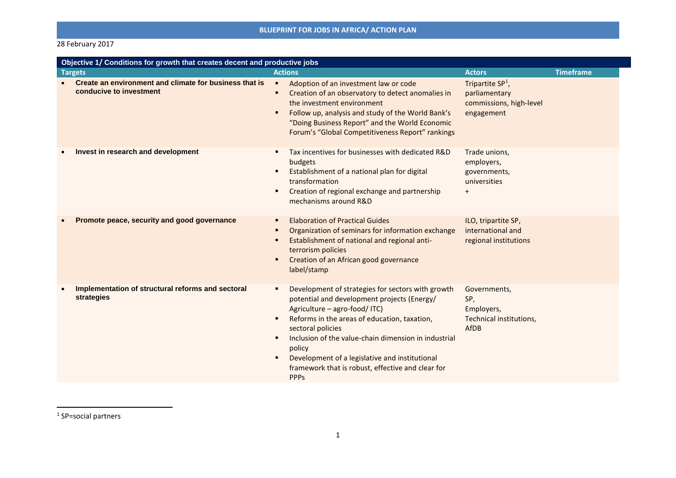# 28 February 2017

| Objective 1/ Conditions for growth that creates decent and productive jobs                     |                                                                                                                                                                                                                                                                                                                                                                                                                   |                                                                                        |                  |  |
|------------------------------------------------------------------------------------------------|-------------------------------------------------------------------------------------------------------------------------------------------------------------------------------------------------------------------------------------------------------------------------------------------------------------------------------------------------------------------------------------------------------------------|----------------------------------------------------------------------------------------|------------------|--|
| <b>Targets</b>                                                                                 | <b>Actions</b>                                                                                                                                                                                                                                                                                                                                                                                                    | <b>Actors</b>                                                                          | <b>Timeframe</b> |  |
| Create an environment and climate for business that is<br>$\bullet$<br>conducive to investment | Adoption of an investment law or code<br>٠<br>Creation of an observatory to detect anomalies in<br>٠<br>the investment environment<br>Follow up, analysis and study of the World Bank's<br>$\blacksquare$<br>"Doing Business Report" and the World Economic<br>Forum's "Global Competitiveness Report" rankings                                                                                                   | Tripartite SP <sup>1</sup> ,<br>parliamentary<br>commissions, high-level<br>engagement |                  |  |
| Invest in research and development                                                             | Tax incentives for businesses with dedicated R&D<br>٠<br>budgets<br>Establishment of a national plan for digital<br>٠<br>transformation<br>Creation of regional exchange and partnership<br>٠<br>mechanisms around R&D                                                                                                                                                                                            | Trade unions,<br>employers,<br>governments,<br>universities<br>$\ddot{}$               |                  |  |
| Promote peace, security and good governance                                                    | <b>Elaboration of Practical Guides</b><br>٠<br>Organization of seminars for information exchange<br>п<br>Establishment of national and regional anti-<br>$\blacksquare$<br>terrorism policies<br>Creation of an African good governance<br>п<br>label/stamp                                                                                                                                                       | ILO, tripartite SP,<br>international and<br>regional institutions                      |                  |  |
| Implementation of structural reforms and sectoral<br>$\bullet$<br>strategies                   | Development of strategies for sectors with growth<br>٠<br>potential and development projects (Energy/<br>Agriculture - agro-food/ITC)<br>Reforms in the areas of education, taxation,<br>٠<br>sectoral policies<br>Inclusion of the value-chain dimension in industrial<br>٠<br>policy<br>Development of a legislative and institutional<br>٠<br>framework that is robust, effective and clear for<br><b>PPPS</b> | Governments,<br>SP,<br>Employers,<br>Technical institutions,<br>AfDB                   |                  |  |

1 SP=social partners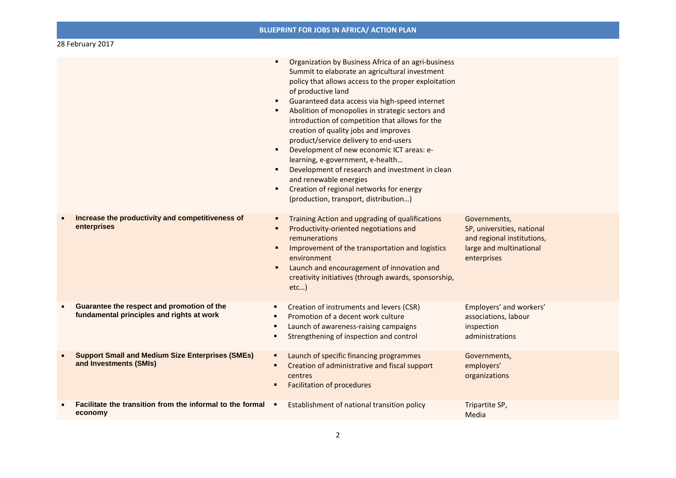| 28 February 2017 |                                                                                         |                                                                                                                                                                                                                                                                                                                                                                                                                                                                                                                                                                                                                                                                                                                         |                                                                                                                    |  |
|------------------|-----------------------------------------------------------------------------------------|-------------------------------------------------------------------------------------------------------------------------------------------------------------------------------------------------------------------------------------------------------------------------------------------------------------------------------------------------------------------------------------------------------------------------------------------------------------------------------------------------------------------------------------------------------------------------------------------------------------------------------------------------------------------------------------------------------------------------|--------------------------------------------------------------------------------------------------------------------|--|
|                  |                                                                                         | Organization by Business Africa of an agri-business<br>Summit to elaborate an agricultural investment<br>policy that allows access to the proper exploitation<br>of productive land<br>Guaranteed data access via high-speed internet<br>٠<br>Abolition of monopolies in strategic sectors and<br>$\blacksquare$<br>introduction of competition that allows for the<br>creation of quality jobs and improves<br>product/service delivery to end-users<br>Development of new economic ICT areas: e-<br>٠<br>learning, e-government, e-health<br>Development of research and investment in clean<br>٠<br>and renewable energies<br>Creation of regional networks for energy<br>п<br>(production, transport, distribution) |                                                                                                                    |  |
|                  | Increase the productivity and competitiveness of<br>enterprises                         | Training Action and upgrading of qualifications<br>Productivity-oriented negotiations and<br>п<br>remunerations<br>Improvement of the transportation and logistics<br>п<br>environment<br>Launch and encouragement of innovation and<br>п<br>creativity initiatives (through awards, sponsorship,<br>etc)                                                                                                                                                                                                                                                                                                                                                                                                               | Governments,<br>SP, universities, national<br>and regional institutions,<br>large and multinational<br>enterprises |  |
|                  | Guarantee the respect and promotion of the<br>fundamental principles and rights at work | Creation of instruments and levers (CSR)<br>٠<br>Promotion of a decent work culture<br>٠<br>Launch of awareness-raising campaigns<br>$\blacksquare$<br>Strengthening of inspection and control<br>٠                                                                                                                                                                                                                                                                                                                                                                                                                                                                                                                     | Employers' and workers'<br>associations, labour<br>inspection<br>administrations                                   |  |
|                  | <b>Support Small and Medium Size Enterprises (SMEs)</b><br>and Investments (SMIs)       | Launch of specific financing programmes<br>٠<br>Creation of administrative and fiscal support<br>$\blacksquare$<br>centres<br><b>Facilitation of procedures</b><br>$\blacksquare$                                                                                                                                                                                                                                                                                                                                                                                                                                                                                                                                       | Governments,<br>employers'<br>organizations                                                                        |  |
|                  | Facilitate the transition from the informal to the formal<br>economy                    | $\blacksquare$<br>Establishment of national transition policy                                                                                                                                                                                                                                                                                                                                                                                                                                                                                                                                                                                                                                                           | Tripartite SP,<br>Media                                                                                            |  |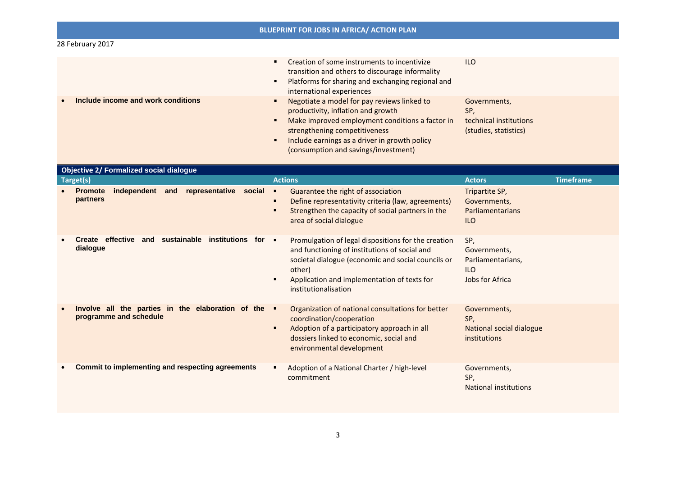# 28 February 2017

|                                                 | Creation of some instruments to incentivize<br>transition and others to discourage informality<br>Platforms for sharing and exchanging regional and<br>international experiences                                                                               | <b>ILO</b>                                                             |
|-------------------------------------------------|----------------------------------------------------------------------------------------------------------------------------------------------------------------------------------------------------------------------------------------------------------------|------------------------------------------------------------------------|
| Include income and work conditions<br>$\bullet$ | Negotiate a model for pay reviews linked to<br>productivity, inflation and growth<br>Make improved employment conditions a factor in<br>strengthening competitiveness<br>Include earnings as a driver in growth policy<br>(consumption and savings/investment) | Governments,<br>SP,<br>technical institutions<br>(studies, statistics) |

| <b>Objective 2/ Formalized social dialogue</b>                                             |                                                                                                                                                                                                                                             |                                                                           |  |  |
|--------------------------------------------------------------------------------------------|---------------------------------------------------------------------------------------------------------------------------------------------------------------------------------------------------------------------------------------------|---------------------------------------------------------------------------|--|--|
| Target(s)                                                                                  | <b>Actions</b>                                                                                                                                                                                                                              | <b>Timeframe</b><br><b>Actors</b>                                         |  |  |
| independent<br>representative<br><b>Promote</b><br>and<br>social<br>$\bullet$<br>partners  | Guarantee the right of association<br>٠<br>Define representativity criteria (law, agreements)<br>Strengthen the capacity of social partners in the<br>area of social dialogue                                                               | Tripartite SP,<br>Governments,<br>Parliamentarians<br><b>ILO</b>          |  |  |
| effective and sustainable<br>institutions for $\blacksquare$<br>Create<br>dialogue         | Promulgation of legal dispositions for the creation<br>and functioning of institutions of social and<br>societal dialogue (economic and social councils or<br>other)<br>Application and implementation of texts for<br>institutionalisation | SP,<br>Governments,<br>Parliamentarians,<br><b>ILO</b><br>Jobs for Africa |  |  |
| Involve all the parties in the elaboration of the .<br>$\bullet$<br>programme and schedule | Organization of national consultations for better<br>coordination/cooperation<br>Adoption of a participatory approach in all<br>dossiers linked to economic, social and<br>environmental development                                        | Governments,<br>SP,<br>National social dialogue<br>institutions           |  |  |
| <b>Commit to implementing and respecting agreements</b><br>$\bullet$                       | Adoption of a National Charter / high-level<br>commitment                                                                                                                                                                                   | Governments,<br>SP,<br><b>National institutions</b>                       |  |  |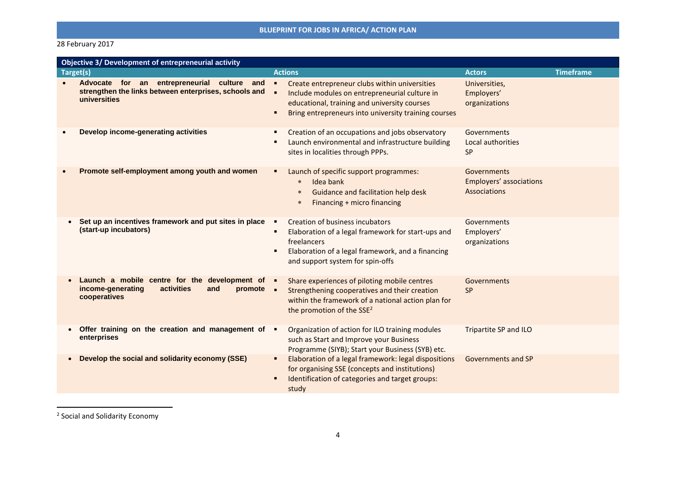# 28 February 2017

| <b>Objective 3/ Development of entrepreneurial activity</b>                                                                       |                                                                                                                                                                                                                               |                                                               |  |  |
|-----------------------------------------------------------------------------------------------------------------------------------|-------------------------------------------------------------------------------------------------------------------------------------------------------------------------------------------------------------------------------|---------------------------------------------------------------|--|--|
| Target(s)                                                                                                                         | <b>Actions</b>                                                                                                                                                                                                                | <b>Timeframe</b><br><b>Actors</b>                             |  |  |
| Advocate for an entrepreneurial culture and<br>$\bullet$<br>strengthen the links between enterprises, schools and<br>universities | $\blacksquare$<br>Create entrepreneur clubs within universities<br>п<br>Include modules on entrepreneurial culture in<br>educational, training and university courses<br>Bring entrepreneurs into university training courses | Universities,<br>Employers'<br>organizations                  |  |  |
| Develop income-generating activities                                                                                              | Creation of an occupations and jobs observatory<br>Launch environmental and infrastructure building<br>sites in localities through PPPs.                                                                                      | Governments<br>Local authorities<br><b>SP</b>                 |  |  |
| Promote self-employment among youth and women                                                                                     | Launch of specific support programmes:<br>Idea bank<br>$\ast$<br>Guidance and facilitation help desk<br>$\ast$<br>Financing + micro financing<br>$\ast$                                                                       | Governments<br>Employers' associations<br><b>Associations</b> |  |  |
| Set up an incentives framework and put sites in place<br>$\bullet$<br>(start-up incubators)                                       | Creation of business incubators<br>Elaboration of a legal framework for start-ups and<br>freelancers<br>Elaboration of a legal framework, and a financing<br>and support system for spin-offs                                 | Governments<br>Employers'<br>organizations                    |  |  |
| Launch a mobile centre for the development of<br>income-generating<br>activities<br>and<br>promote<br>cooperatives                | Share experiences of piloting mobile centres<br>Strengthening cooperatives and their creation<br>within the framework of a national action plan for<br>the promotion of the SSE <sup>2</sup>                                  | Governments<br><b>SP</b>                                      |  |  |
| Offer training on the creation and management of .<br>$\bullet$<br>enterprises                                                    | Organization of action for ILO training modules<br>such as Start and Improve your Business<br>Programme (SIYB); Start your Business (SYB) etc.                                                                                | Tripartite SP and ILO                                         |  |  |
| Develop the social and solidarity economy (SSE)<br>$\bullet$                                                                      | Elaboration of a legal framework: legal dispositions<br>for organising SSE (concepts and institutions)<br>Identification of categories and target groups:<br>study                                                            | <b>Governments and SP</b>                                     |  |  |

2 Social and Solidarity Economy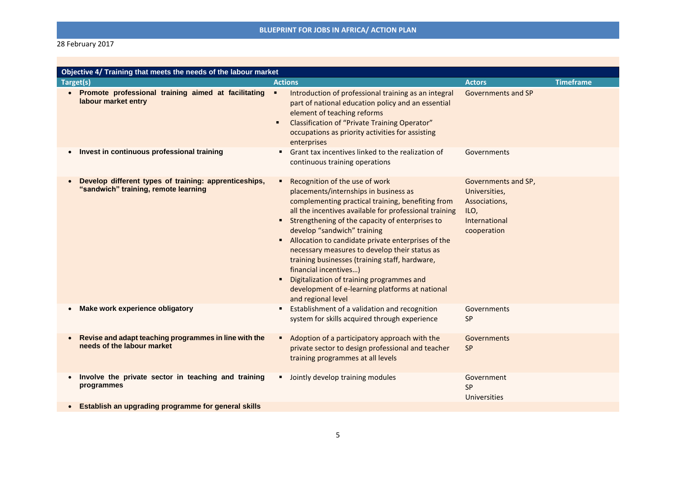# 28 February 2017

| Objective 4/ Training that meets the needs of the labour market                               |                                                                                                                                                                                                                                                                                                                                                                                                                                                                                                                                                                                       |                                                                                               |                  |
|-----------------------------------------------------------------------------------------------|---------------------------------------------------------------------------------------------------------------------------------------------------------------------------------------------------------------------------------------------------------------------------------------------------------------------------------------------------------------------------------------------------------------------------------------------------------------------------------------------------------------------------------------------------------------------------------------|-----------------------------------------------------------------------------------------------|------------------|
| Target(s)                                                                                     | <b>Actions</b>                                                                                                                                                                                                                                                                                                                                                                                                                                                                                                                                                                        | <b>Actors</b>                                                                                 | <b>Timeframe</b> |
| • Promote professional training aimed at facilitating<br>labour market entry                  | $\blacksquare$<br>Introduction of professional training as an integral<br>part of national education policy and an essential<br>element of teaching reforms<br>Classification of "Private Training Operator"<br>٠<br>occupations as priority activities for assisting<br>enterprises                                                                                                                                                                                                                                                                                                  | Governments and SP                                                                            |                  |
| Invest in continuous professional training                                                    | Grant tax incentives linked to the realization of<br>continuous training operations                                                                                                                                                                                                                                                                                                                                                                                                                                                                                                   | Governments                                                                                   |                  |
| Develop different types of training: apprenticeships,<br>"sandwich" training, remote learning | Recognition of the use of work<br>placements/internships in business as<br>complementing practical training, benefiting from<br>all the incentives available for professional training<br>Strengthening of the capacity of enterprises to<br>develop "sandwich" training<br>Allocation to candidate private enterprises of the<br>٠<br>necessary measures to develop their status as<br>training businesses (training staff, hardware,<br>financial incentives)<br>Digitalization of training programmes and<br>development of e-learning platforms at national<br>and regional level | Governments and SP,<br>Universities,<br>Associations,<br>ILO,<br>International<br>cooperation |                  |
| Make work experience obligatory                                                               | Establishment of a validation and recognition<br>system for skills acquired through experience                                                                                                                                                                                                                                                                                                                                                                                                                                                                                        | Governments<br><b>SP</b>                                                                      |                  |
| Revise and adapt teaching programmes in line with the<br>needs of the labour market           | Adoption of a participatory approach with the<br>private sector to design professional and teacher<br>training programmes at all levels                                                                                                                                                                                                                                                                                                                                                                                                                                               | Governments<br><b>SP</b>                                                                      |                  |
| Involve the private sector in teaching and training<br>$\bullet$<br>programmes                | Jointly develop training modules<br>٠                                                                                                                                                                                                                                                                                                                                                                                                                                                                                                                                                 | Government<br><b>SP</b><br>Universities                                                       |                  |
| Establish an upgrading programme for general skills                                           |                                                                                                                                                                                                                                                                                                                                                                                                                                                                                                                                                                                       |                                                                                               |                  |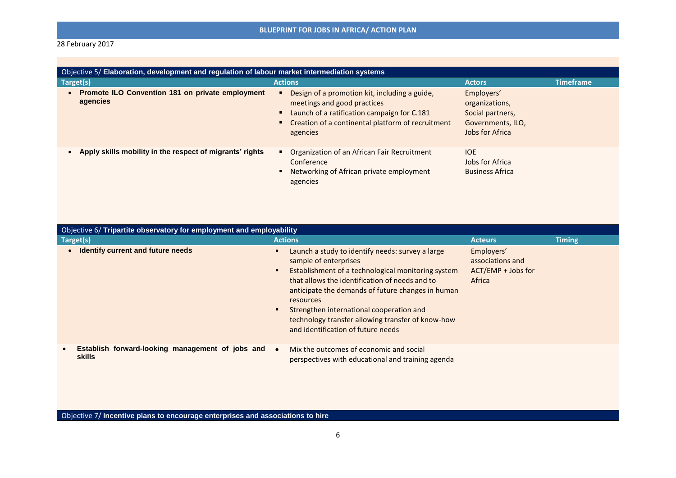# 28 February 2017

| Objective 5/ Elaboration, development and regulation of labour market intermediation systems |                                                                                                                                                                                                  |                                                                                          |                  |
|----------------------------------------------------------------------------------------------|--------------------------------------------------------------------------------------------------------------------------------------------------------------------------------------------------|------------------------------------------------------------------------------------------|------------------|
| Target(s)                                                                                    | <b>Actions</b>                                                                                                                                                                                   | <b>Actors</b>                                                                            | <b>Timeframe</b> |
| <b>Promote ILO Convention 181 on private employment</b><br>$\bullet$<br>agencies             | Design of a promotion kit, including a guide,<br>meetings and good practices<br>• Launch of a ratification campaign for C.181<br>• Creation of a continental platform of recruitment<br>agencies | Employers'<br>organizations,<br>Social partners,<br>Governments, ILO,<br>Jobs for Africa |                  |
| Apply skills mobility in the respect of migrants' rights                                     | Organization of an African Fair Recruitment<br>Conference<br>■ Networking of African private employment<br>agencies                                                                              | <b>IOE</b><br>Jobs for Africa<br><b>Business Africa</b>                                  |                  |

| Objective 6/ Tripartite observatory for employment and employability |                                                                                                                                                                                                                                                                                                                                                                                            |                                                                  |               |
|----------------------------------------------------------------------|--------------------------------------------------------------------------------------------------------------------------------------------------------------------------------------------------------------------------------------------------------------------------------------------------------------------------------------------------------------------------------------------|------------------------------------------------------------------|---------------|
| Target(s)                                                            | <b>Actions</b>                                                                                                                                                                                                                                                                                                                                                                             | <b>Acteurs</b>                                                   | <b>Timing</b> |
| Identify current and future needs                                    | Launch a study to identify needs: survey a large<br>sample of enterprises<br>Establishment of a technological monitoring system<br>that allows the identification of needs and to<br>anticipate the demands of future changes in human<br>resources<br>Strengthen international cooperation and<br>technology transfer allowing transfer of know-how<br>and identification of future needs | Employers'<br>associations and<br>$ACT/EMP + Jobs for$<br>Africa |               |
| Establish forward-looking management of jobs and<br><b>skills</b>    | Mix the outcomes of economic and social<br>$\bullet$<br>perspectives with educational and training agenda                                                                                                                                                                                                                                                                                  |                                                                  |               |

Objective 7/ **Incentive plans to encourage enterprises and associations to hire**